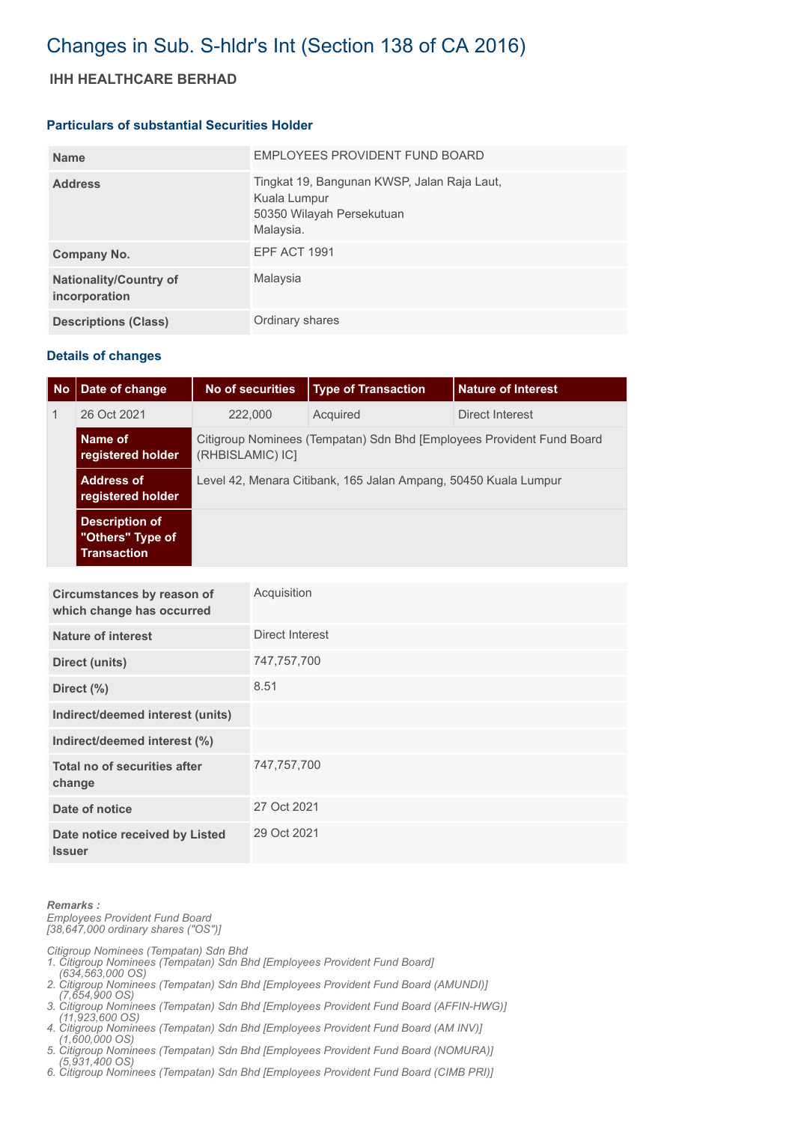## Changes in Sub. S-hldr's Int (Section 138 of CA 2016)

## **IHH HEALTHCARE BERHAD**

## **Particulars of substantial Securities Holder**

| <b>Name</b>                                    | EMPLOYEES PROVIDENT FUND BOARD                                                                        |
|------------------------------------------------|-------------------------------------------------------------------------------------------------------|
| <b>Address</b>                                 | Tingkat 19, Bangunan KWSP, Jalan Raja Laut,<br>Kuala Lumpur<br>50350 Wilayah Persekutuan<br>Malaysia. |
| Company No.                                    | <b>EPF ACT 1991</b>                                                                                   |
| <b>Nationality/Country of</b><br>incorporation | Malaysia                                                                                              |
| <b>Descriptions (Class)</b>                    | Ordinary shares                                                                                       |

## **Details of changes**

| <b>No</b> | Date of change                                                  | No of securities                                                                          | <b>Type of Transaction</b> | l Nature of Interest |  |
|-----------|-----------------------------------------------------------------|-------------------------------------------------------------------------------------------|----------------------------|----------------------|--|
|           | 26 Oct 2021                                                     | 222,000                                                                                   | Acquired                   | Direct Interest      |  |
|           | Name of<br>registered holder                                    | Citigroup Nominees (Tempatan) Sdn Bhd [Employees Provident Fund Board<br>(RHBISLAMIC) IC] |                            |                      |  |
|           | <b>Address of</b><br>registered holder                          | Level 42, Menara Citibank, 165 Jalan Ampang, 50450 Kuala Lumpur                           |                            |                      |  |
|           | <b>Description of</b><br>"Others" Type of<br><b>Transaction</b> |                                                                                           |                            |                      |  |

| Circumstances by reason of<br>which change has occurred | Acquisition     |
|---------------------------------------------------------|-----------------|
| Nature of interest                                      | Direct Interest |
| <b>Direct (units)</b>                                   | 747,757,700     |
| Direct $(\%)$                                           | 8.51            |
| Indirect/deemed interest (units)                        |                 |
| Indirect/deemed interest (%)                            |                 |
| Total no of securities after<br>change                  | 747,757,700     |
| Date of notice                                          | 27 Oct 2021     |
| Date notice received by Listed<br><b>Issuer</b>         | 29 Oct 2021     |

*Remarks : Employees Provident Fund Board [38,647,000 ordinary shares ("OS")]*

*Citigroup Nominees (Tempatan) Sdn Bhd* 

*1. Citigroup Nominees (Tempatan) Sdn Bhd [Employees Provident Fund Board]* 

- *(634,563,000 OS) 2. Citigroup Nominees (Tempatan) Sdn Bhd [Employees Provident Fund Board (AMUNDI)]*
- *(7,654,900 OS) 3. Citigroup Nominees (Tempatan) Sdn Bhd [Employees Provident Fund Board (AFFIN-HWG)]*
- *(11,923,600 OS) 4. Citigroup Nominees (Tempatan) Sdn Bhd [Employees Provident Fund Board (AM INV)]*
- *(1,600,000 OS) 5. Citigroup Nominees (Tempatan) Sdn Bhd [Employees Provident Fund Board (NOMURA)]*
- *(5,931,400 OS)*
- *6. Citigroup Nominees (Tempatan) Sdn Bhd [Employees Provident Fund Board (CIMB PRI)]*